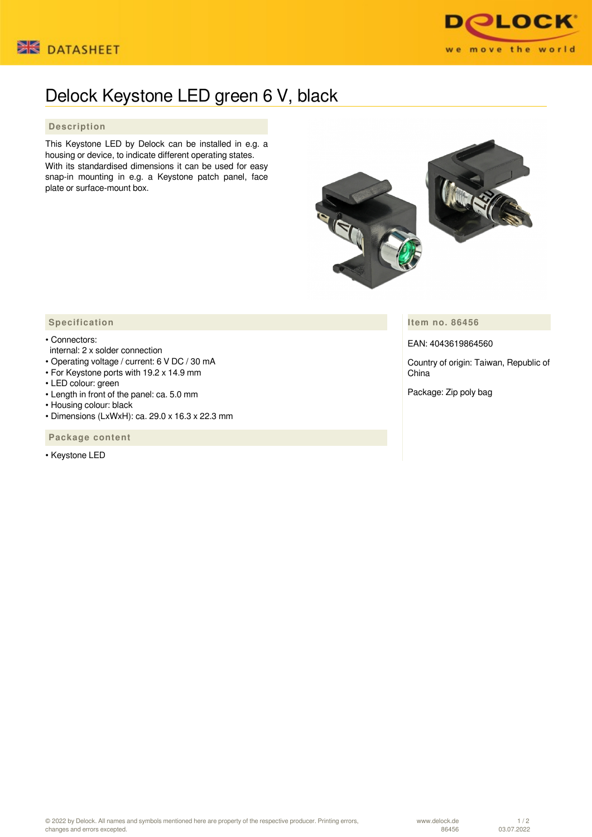



## Delock Keystone LED green 6 V, black

## **Description**

This Keystone LED by Delock can be installed in e.g. a housing or device, to indicate different operating states. With its standardised dimensions it can be used for easy snap-in mounting in e.g. a Keystone patch panel, face plate or surface-mount box.



**Item no. 86456**

EAN: 4043619864560

Country of origin: Taiwan, Republic of China

Package: Zip poly bag

## **Specification**

## • Connectors:

- internal: 2 x solder connection
- Operating voltage / current: 6 V DC / 30 mA
- For Keystone ports with 19.2 x 14.9 mm
- LED colour: green
- Length in front of the panel: ca. 5.0 mm
- Housing colour: black
- Dimensions (LxWxH): ca. 29.0 x 16.3 x 22.3 mm

 **Package content**

• Keystone LED